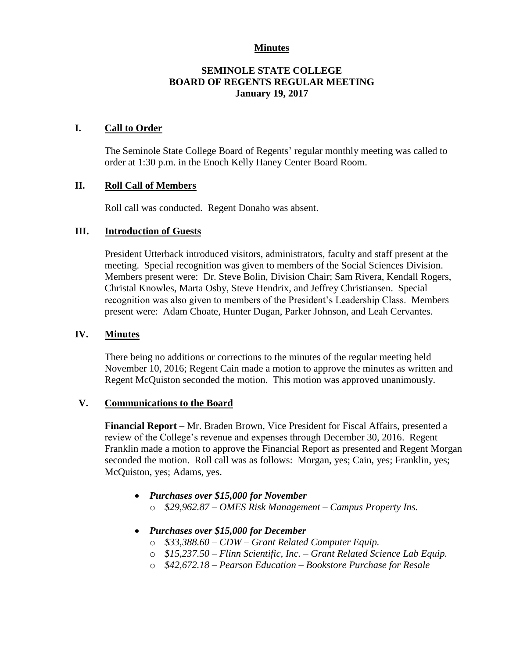#### **Minutes**

## **SEMINOLE STATE COLLEGE BOARD OF REGENTS REGULAR MEETING January 19, 2017**

## **I. Call to Order**

The Seminole State College Board of Regents' regular monthly meeting was called to order at 1:30 p.m. in the Enoch Kelly Haney Center Board Room.

## **II. Roll Call of Members**

Roll call was conducted. Regent Donaho was absent.

## **III. Introduction of Guests**

President Utterback introduced visitors, administrators, faculty and staff present at the meeting. Special recognition was given to members of the Social Sciences Division. Members present were: Dr. Steve Bolin, Division Chair; Sam Rivera, Kendall Rogers, Christal Knowles, Marta Osby, Steve Hendrix, and Jeffrey Christiansen. Special recognition was also given to members of the President's Leadership Class. Members present were: Adam Choate, Hunter Dugan, Parker Johnson, and Leah Cervantes.

#### **IV. Minutes**

There being no additions or corrections to the minutes of the regular meeting held November 10, 2016; Regent Cain made a motion to approve the minutes as written and Regent McQuiston seconded the motion. This motion was approved unanimously.

#### **V. Communications to the Board**

**Financial Report** – Mr. Braden Brown, Vice President for Fiscal Affairs, presented a review of the College's revenue and expenses through December 30, 2016. Regent Franklin made a motion to approve the Financial Report as presented and Regent Morgan seconded the motion. Roll call was as follows: Morgan, yes; Cain, yes; Franklin, yes; McQuiston, yes; Adams, yes.

- *Purchases over \$15,000 for November* o *\$29,962.87 – OMES Risk Management – Campus Property Ins.*
- *Purchases over \$15,000 for December* 
	- o *\$33,388.60 – CDW – Grant Related Computer Equip.*
	- o *\$15,237.50 – Flinn Scientific, Inc. – Grant Related Science Lab Equip.*
	- o *\$42,672.18 – Pearson Education – Bookstore Purchase for Resale*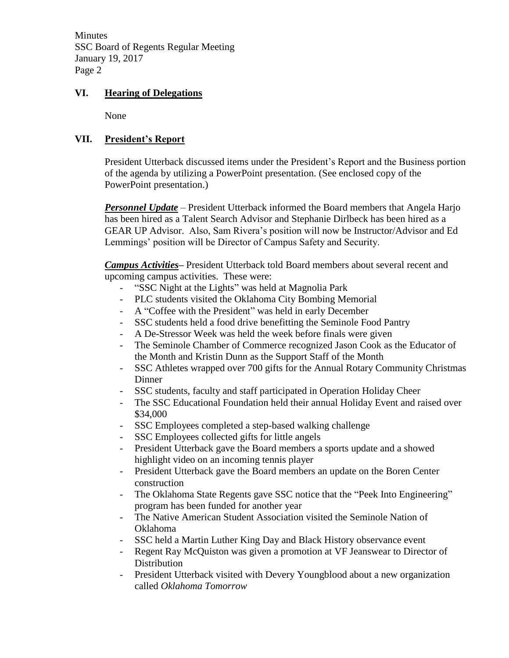**Minutes** SSC Board of Regents Regular Meeting January 19, 2017 Page 2

## **VI. Hearing of Delegations**

None

# **VII. President's Report**

President Utterback discussed items under the President's Report and the Business portion of the agenda by utilizing a PowerPoint presentation. (See enclosed copy of the PowerPoint presentation.)

*Personnel Update* – President Utterback informed the Board members that Angela Harjo has been hired as a Talent Search Advisor and Stephanie Dirlbeck has been hired as a GEAR UP Advisor. Also, Sam Rivera's position will now be Instructor/Advisor and Ed Lemmings' position will be Director of Campus Safety and Security.

*Campus Activities***–** President Utterback told Board members about several recent and upcoming campus activities. These were:

- "SSC Night at the Lights" was held at Magnolia Park
- PLC students visited the Oklahoma City Bombing Memorial
- A "Coffee with the President" was held in early December
- SSC students held a food drive benefitting the Seminole Food Pantry
- A De-Stressor Week was held the week before finals were given
- The Seminole Chamber of Commerce recognized Jason Cook as the Educator of the Month and Kristin Dunn as the Support Staff of the Month
- SSC Athletes wrapped over 700 gifts for the Annual Rotary Community Christmas Dinner
- SSC students, faculty and staff participated in Operation Holiday Cheer
- The SSC Educational Foundation held their annual Holiday Event and raised over \$34,000
- SSC Employees completed a step-based walking challenge
- SSC Employees collected gifts for little angels
- President Utterback gave the Board members a sports update and a showed highlight video on an incoming tennis player
- President Utterback gave the Board members an update on the Boren Center construction
- The Oklahoma State Regents gave SSC notice that the "Peek Into Engineering" program has been funded for another year
- The Native American Student Association visited the Seminole Nation of Oklahoma
- SSC held a Martin Luther King Day and Black History observance event
- Regent Ray McQuiston was given a promotion at VF Jeanswear to Director of **Distribution**
- President Utterback visited with Devery Youngblood about a new organization called *Oklahoma Tomorrow*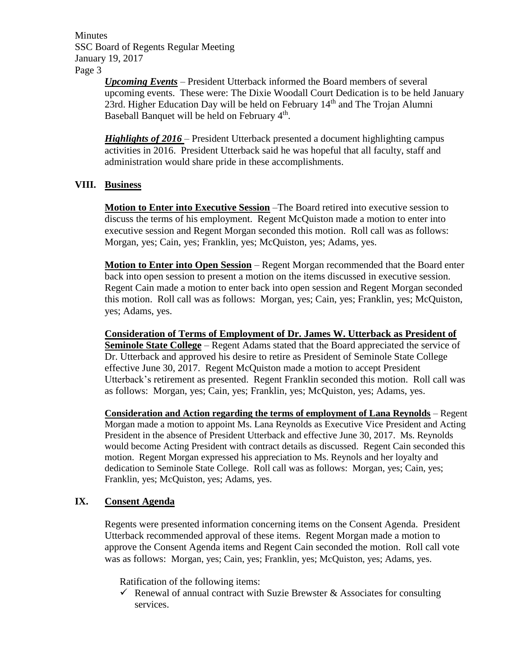**Minutes** SSC Board of Regents Regular Meeting January 19, 2017 Page 3

> *Upcoming Events* – President Utterback informed the Board members of several upcoming events. These were: The Dixie Woodall Court Dedication is to be held January 23rd. Higher Education Day will be held on February 14<sup>th</sup> and The Trojan Alumni Baseball Banquet will be held on February 4<sup>th</sup>.

*Highlights of 2016* – President Utterback presented a document highlighting campus activities in 2016. President Utterback said he was hopeful that all faculty, staff and administration would share pride in these accomplishments.

## **VIII. Business**

**Motion to Enter into Executive Session** –The Board retired into executive session to discuss the terms of his employment. Regent McQuiston made a motion to enter into executive session and Regent Morgan seconded this motion. Roll call was as follows: Morgan, yes; Cain, yes; Franklin, yes; McQuiston, yes; Adams, yes.

**Motion to Enter into Open Session** – Regent Morgan recommended that the Board enter back into open session to present a motion on the items discussed in executive session. Regent Cain made a motion to enter back into open session and Regent Morgan seconded this motion. Roll call was as follows: Morgan, yes; Cain, yes; Franklin, yes; McQuiston, yes; Adams, yes.

**Consideration of Terms of Employment of Dr. James W. Utterback as President of Seminole State College** – Regent Adams stated that the Board appreciated the service of Dr. Utterback and approved his desire to retire as President of Seminole State College effective June 30, 2017. Regent McQuiston made a motion to accept President Utterback's retirement as presented. Regent Franklin seconded this motion. Roll call was as follows: Morgan, yes; Cain, yes; Franklin, yes; McQuiston, yes; Adams, yes.

**Consideration and Action regarding the terms of employment of Lana Reynolds** – Regent Morgan made a motion to appoint Ms. Lana Reynolds as Executive Vice President and Acting President in the absence of President Utterback and effective June 30, 2017. Ms. Reynolds would become Acting President with contract details as discussed. Regent Cain seconded this motion. Regent Morgan expressed his appreciation to Ms. Reynols and her loyalty and dedication to Seminole State College. Roll call was as follows: Morgan, yes; Cain, yes; Franklin, yes; McQuiston, yes; Adams, yes.

## **IX. Consent Agenda**

Regents were presented information concerning items on the Consent Agenda. President Utterback recommended approval of these items. Regent Morgan made a motion to approve the Consent Agenda items and Regent Cain seconded the motion. Roll call vote was as follows: Morgan, yes; Cain, yes; Franklin, yes; McQuiston, yes; Adams, yes.

Ratification of the following items:

Renewal of annual contract with Suzie Brewster  $\&$  Associates for consulting services.